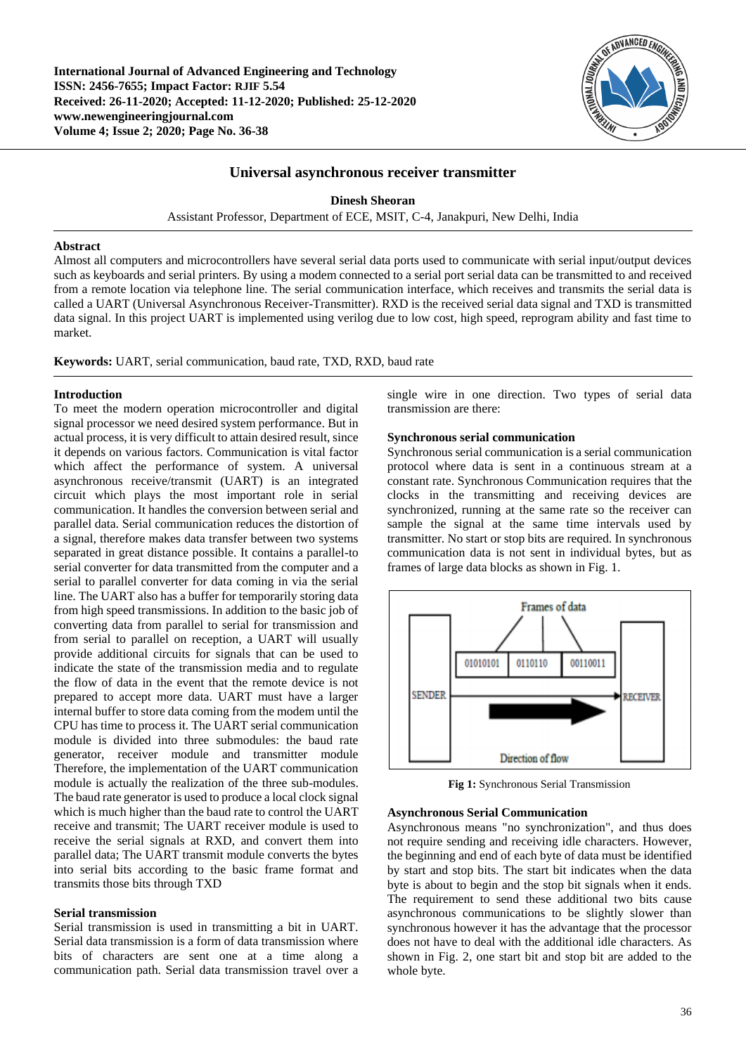**International Journal of Advanced Engineering and Technology ISSN: 2456-7655; Impact Factor: RJIF 5.54 Received: 26-11-2020; Accepted: 11-12-2020; Published: 25-12-2020 www.newengineeringjournal.com Volume 4; Issue 2; 2020; Page No. 36-38**



# **Universal asynchronous receiver transmitter**

**Dinesh Sheoran**

Assistant Professor, Department of ECE, MSIT, C-4, Janakpuri, New Delhi, India

#### **Abstract**

Almost all computers and microcontrollers have several serial data ports used to communicate with serial input/output devices such as keyboards and serial printers. By using a modem connected to a serial port serial data can be transmitted to and received from a remote location via telephone line. The serial communication interface, which receives and transmits the serial data is called a UART (Universal Asynchronous Receiver-Transmitter). RXD is the received serial data signal and TXD is transmitted data signal. In this project UART is implemented using verilog due to low cost, high speed, reprogram ability and fast time to market.

**Keywords:** UART, serial communication, baud rate, TXD, RXD, baud rate

#### **Introduction**

To meet the modern operation microcontroller and digital signal processor we need desired system performance. But in actual process, it is very difficult to attain desired result, since it depends on various factors. Communication is vital factor which affect the performance of system. A universal asynchronous receive/transmit (UART) is an integrated circuit which plays the most important role in serial communication. It handles the conversion between serial and parallel data. Serial communication reduces the distortion of a signal, therefore makes data transfer between two systems separated in great distance possible. It contains a parallel-to serial converter for data transmitted from the computer and a serial to parallel converter for data coming in via the serial line. The UART also has a buffer for temporarily storing data from high speed transmissions. In addition to the basic job of converting data from parallel to serial for transmission and from serial to parallel on reception, a UART will usually provide additional circuits for signals that can be used to indicate the state of the transmission media and to regulate the flow of data in the event that the remote device is not prepared to accept more data. UART must have a larger internal buffer to store data coming from the modem until the CPU has time to process it. The UART serial communication module is divided into three submodules: the baud rate generator, receiver module and transmitter module Therefore, the implementation of the UART communication module is actually the realization of the three sub-modules. The baud rate generator is used to produce a local clock signal which is much higher than the baud rate to control the UART receive and transmit; The UART receiver module is used to receive the serial signals at RXD, and convert them into parallel data; The UART transmit module converts the bytes into serial bits according to the basic frame format and transmits those bits through TXD

#### **Serial transmission**

Serial transmission is used in transmitting a bit in UART. Serial data transmission is a form of data transmission where bits of characters are sent one at a time along a communication path. Serial data transmission travel over a

single wire in one direction. Two types of serial data transmission are there:

### **Synchronous serial communication**

Synchronous serial communication is a serial communication protocol where data is sent in a continuous stream at a constant rate. Synchronous Communication requires that the clocks in the transmitting and receiving devices are synchronized, running at the same rate so the receiver can sample the signal at the same time intervals used by transmitter. No start or stop bits are required. In synchronous communication data is not sent in individual bytes, but as frames of large data blocks as shown in Fig. 1.



**Fig 1:** Synchronous Serial Transmission

#### **Asynchronous Serial Communication**

Asynchronous means "no synchronization", and thus does not require sending and receiving idle characters. However, the beginning and end of each byte of data must be identified by start and stop bits. The start bit indicates when the data byte is about to begin and the stop bit signals when it ends. The requirement to send these additional two bits cause asynchronous communications to be slightly slower than synchronous however it has the advantage that the processor does not have to deal with the additional idle characters. As shown in Fig. 2, one start bit and stop bit are added to the whole byte.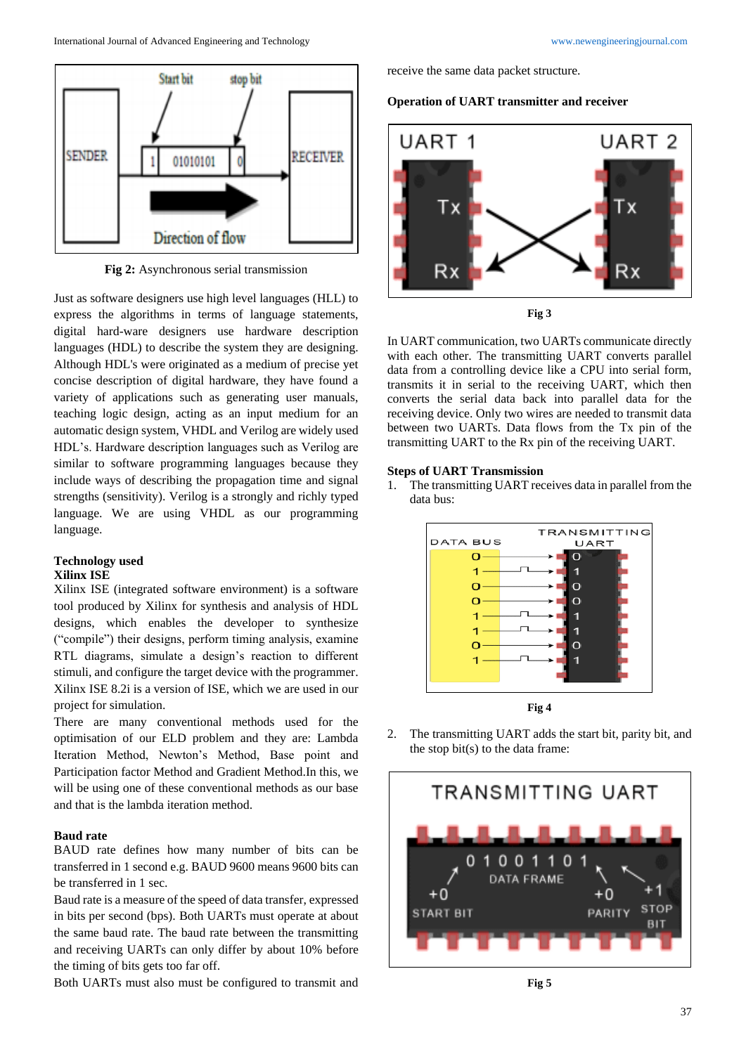

**Fig 2:** Asynchronous serial transmission

Just as software designers use high level languages (HLL) to express the algorithms in terms of language statements, digital hard-ware designers use hardware description languages (HDL) to describe the system they are designing. Although HDL's were originated as a medium of precise yet concise description of digital hardware, they have found a variety of applications such as generating user manuals, teaching logic design, acting as an input medium for an automatic design system, VHDL and Verilog are widely used HDL's. Hardware description languages such as Verilog are similar to software programming languages because they include ways of describing the propagation time and signal strengths (sensitivity). Verilog is a strongly and richly typed language. We are using VHDL as our programming language.

### **Technology used Xilinx ISE**

Xilinx ISE (integrated software environment) is a software tool produced by Xilinx for synthesis and analysis of HDL designs, which enables the developer to synthesize ("compile") their designs, perform timing analysis, examine RTL diagrams, simulate a design's reaction to different stimuli, and configure the target device with the programmer. Xilinx ISE 8.2i is a version of ISE, which we are used in our project for simulation.

There are many conventional methods used for the optimisation of our ELD problem and they are: Lambda Iteration Method, Newton's Method, Base point and Participation factor Method and Gradient Method.In this, we will be using one of these conventional methods as our base and that is the lambda iteration method.

### **Baud rate**

BAUD rate defines how many number of bits can be transferred in 1 second e.g. BAUD 9600 means 9600 bits can be transferred in 1 sec.

Baud rate is a measure of the speed of data transfer, expressed in bits per second (bps). Both UARTs must operate at about the same baud rate. The baud rate between the transmitting and receiving UARTs can only differ by about 10% before the timing of bits gets too far off.

Both UARTs must also must be configured to transmit and

receive the same data packet structure.





In UART communication, two UARTs communicate directly with each other. The transmitting UART converts parallel data from a controlling device like a CPU into serial form, transmits it in serial to the receiving UART, which then converts the serial data back into parallel data for the receiving device. Only two wires are needed to transmit data between two UARTs. Data flows from the Tx pin of the

### **Steps of UART Transmission**

1. The transmitting UART receives data in parallel from the data bus:

transmitting UART to the Rx pin of the receiving UART.



2. The transmitting UART adds the start bit, parity bit, and the stop bit(s) to the data frame: